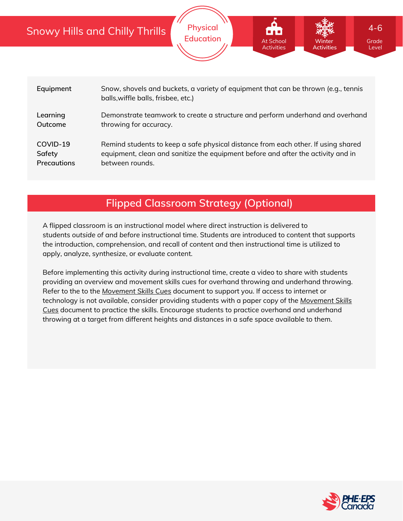|                                   | <b>Snowy Hills and Chilly Thrills</b>                                                                                                                                                    | <b>Physical</b><br><b>Education</b> | At School<br><b>Activities</b> | Winter<br><b>Activities</b> | $4 - 6$<br>Grade<br>Level |  |
|-----------------------------------|------------------------------------------------------------------------------------------------------------------------------------------------------------------------------------------|-------------------------------------|--------------------------------|-----------------------------|---------------------------|--|
|                                   |                                                                                                                                                                                          |                                     |                                |                             |                           |  |
| Equipment                         | Snow, shovels and buckets, a variety of equipment that can be thrown (e.g., tennis<br>balls, wiffle balls, frisbee, etc.)                                                                |                                     |                                |                             |                           |  |
| Learning<br>Outcome               | Demonstrate teamwork to create a structure and perform underhand and overhand<br>throwing for accuracy.                                                                                  |                                     |                                |                             |                           |  |
| COVID-19<br>Safety<br>Precautions | Remind students to keep a safe physical distance from each other. If using shared<br>equipment, clean and sanitize the equipment before and after the activity and in<br>between rounds. |                                     |                                |                             |                           |  |

# **Flipped Classroom Strategy (Optional)**

A flipped classroom is an instructional model where direct instruction is delivered to students *outside of* and *before* instructional time. Students are introduced to content that supports the introduction, comprehension, and recall of content and then instructional time is utilized to apply, analyze, synthesize, or evaluate content.

Before implementing this activity during instructional time, create a video to share with students providing an overview and movement skills cues for overhand throwing and underhand throwing. Refer to the to the *[Movement](https://phecanada.ca/sites/default/files/content/docs/Home%20Learning%20Resource/Movement%20Cues/Movement%20Skills%20Cues%201.pdf) Skills Cues* document to support you. If access to internet or [technology](https://phecanada.ca/sites/default/files/content/docs/Home%20Learning%20Resource/Movement%20Cues/Movement%20Skills%20Cues%201.pdf) is not available, consider providing students with a paper copy of the *Movement Skills Cues* document to practice the skills. Encourage students to practice overhand and underhand throwing at a target from different heights and distances in a safe space available to them.

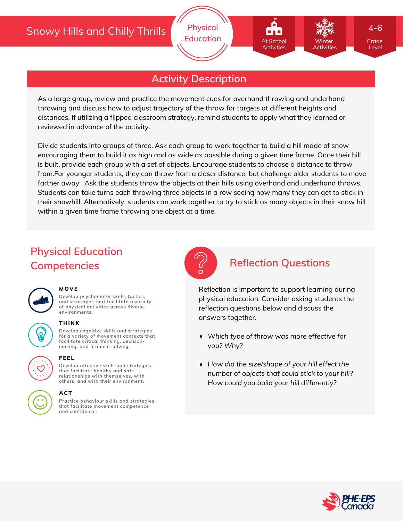# **Activity Description**

As a large group, review and practice the movement cues for overhand throwing and underhand throwing and discuss how to adjust trajectory of the throw for targets at different heights and distances. If utilizing a flipped classroom strategy, remind students to apply what they learned or reviewed in advance of the activity.

Divide students into groups of three. Ask each group to work together to build a hill made of snow encouraging them to build it as high and as wide as possible during a given time frame. Once their hill is built, provide each group with a set of objects. Encourage students to choose a distance to throw from.For younger students, they can throw from a closer distance, but challenge older students to move farther away. Ask the students throw the objects at their hills using overhand and underhand throws. Students can take turns each throwing three objects in a row seeing how many they can get to stick in their snowhill. Alternatively, students can work together to try to stick as many objects in their snow hill within a given time frame throwing one object at a time.

# **Physical Education Competencies Reflection Questions**



### **MOVE**

**Develop psychomotor skills, tactics, and strategies that facilitate a variety of physical activities across diverse environments.**

# **THINK**

**Develop cognitive skills and strategies for a variety of movement contexts that facilitate critical thinking, decision making, and problem solving.**



### **FEEL**

**Develop affective skills and strategies that facilitate healthy and safe relationships with themselves, with others, and with their environment.**

### **ACT**

**Practice behaviour skills and strategies that facilitate movement competence and confidence.**



At School Activities

Reflection is important to support learning during physical education. Consider asking students the reflection questions below and discuss the answers together.

- *Which type of throw was more effective for you? Why?*
- *How did the size/shape of your hill effect the number of objects that could stick to your hill? How could you build your hill differently?*



Level

4-6

**Winter Activities**